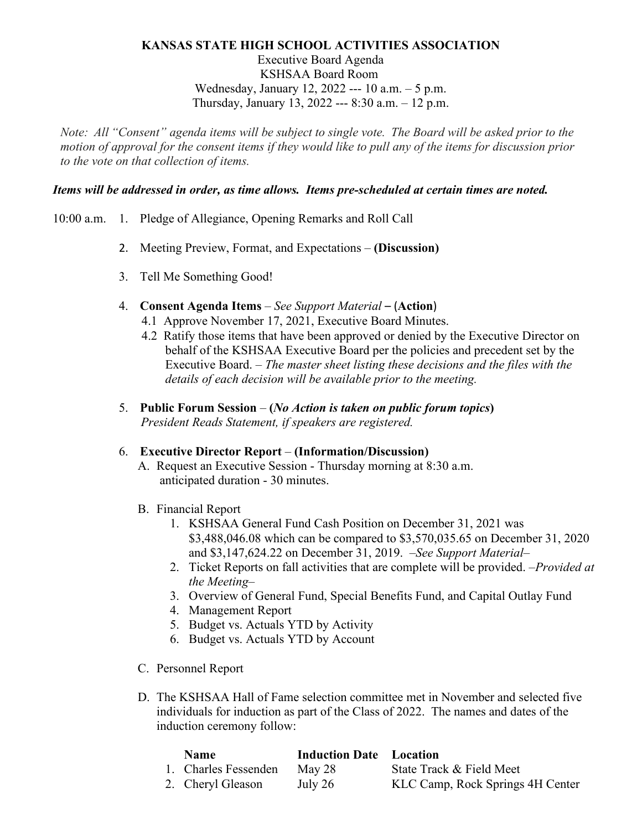## **KANSAS STATE HIGH SCHOOL ACTIVITIES ASSOCIATION**

Executive Board Agenda KSHSAA Board Room Wednesday, January 12, 2022 --- 10 a.m. – 5 p.m. Thursday, January 13, 2022 --- 8:30 a.m. – 12 p.m.

*Note:  All "Consent" agenda items will be subject to single vote.  The Board will be asked prior to the motion of approval for the consent items if they would like to pull any of the items for discussion prior to the vote on that collection of items.*

## *Items will be addressed in order, as time allows. Items pre-scheduled at certain times are noted.*

- 10:00 a.m. 1. Pledge of Allegiance, Opening Remarks and Roll Call
	- 2. Meeting Preview, Format, and Expectations **(Discussion)**
	- 3. Tell Me Something Good!
	- 4. **Consent Agenda Items** *See Support Material* (**Action**)
		- 4.1 Approve November 17, 2021, Executive Board Minutes.
		- 4.2 Ratify those items that have been approved or denied by the Executive Director on behalf of the KSHSAA Executive Board per the policies and precedent set by the Executive Board. – *The master sheet listing these decisions and the files with the details of each decision will be available prior to the meeting.*
	- 5. **Public Forum Session (***No Action is taken on public forum topics***)** *President Reads Statement, if speakers are registered.*

#### 6. **Executive Director Report** – **(Information/Discussion)**

- A. Request an Executive Session Thursday morning at 8:30 a.m. anticipated duration - 30 minutes.
- B. Financial Report
	- 1. KSHSAA General Fund Cash Position on December 31, 2021 was \$3,488,046.08 which can be compared to \$3,570,035.65 on December 31, 2020 and \$3,147,624.22 on December 31, 2019. *–See Support Material–*
	- 2. Ticket Reports on fall activities that are complete will be provided. *–Provided at the Meeting–*
	- 3. Overview of General Fund, Special Benefits Fund, and Capital Outlay Fund
	- 4. Management Report
	- 5. Budget vs. Actuals YTD by Activity
	- 6. Budget vs. Actuals YTD by Account
- C. Personnel Report
- D. The KSHSAA Hall of Fame selection committee met in November and selected five individuals for induction as part of the Class of 2022. The names and dates of the induction ceremony follow:

| <b>Name</b>          | <b>Induction Date</b> Location |                                  |
|----------------------|--------------------------------|----------------------------------|
| 1. Charles Fessenden | May 28                         | State Track & Field Meet         |
| 2. Cheryl Gleason    | July 26                        | KLC Camp, Rock Springs 4H Center |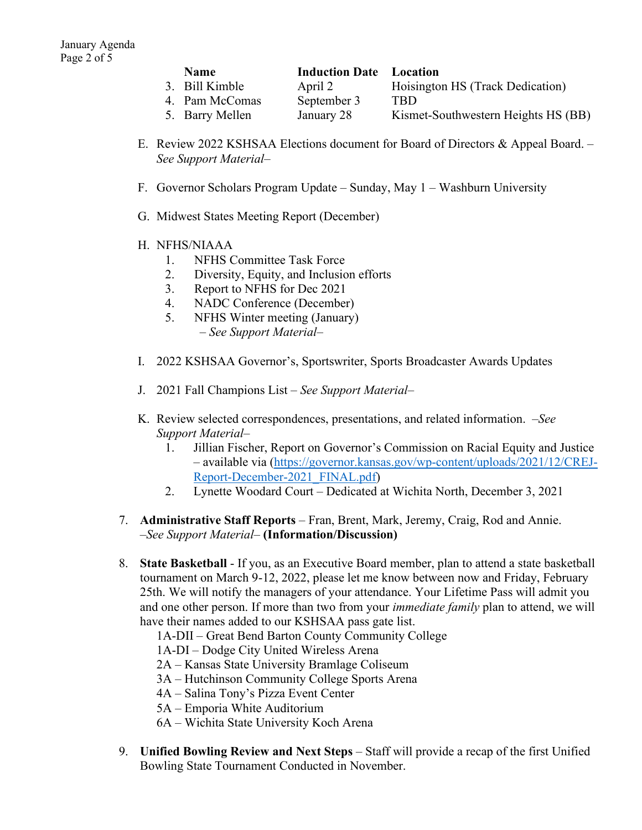| <b>Name</b>     | <b>Induction Date</b> Location |                                     |
|-----------------|--------------------------------|-------------------------------------|
| 3. Bill Kimble  | April 2                        | Hoisington HS (Track Dedication)    |
| 4. Pam McComas  | September 3                    | TRD                                 |
| 5. Barry Mellen | January 28                     | Kismet-Southwestern Heights HS (BB) |

- E. Review 2022 KSHSAA Elections document for Board of Directors & Appeal Board. *– See Support Material–*
- F. Governor Scholars Program Update Sunday, May 1 Washburn University
- G. Midwest States Meeting Report (December)
- H. NFHS/NIAAA
	- 1. NFHS Committee Task Force
	- 2. Diversity, Equity, and Inclusion efforts
	- 3. Report to NFHS for Dec 2021
	- 4. NADC Conference (December)
	- 5. NFHS Winter meeting (January)  *– See Support Material–*
- I. 2022 KSHSAA Governor's, Sportswriter, Sports Broadcaster Awards Updates
- J. 2021 Fall Champions List *– See Support Material–*
- K. Review selected correspondences, presentations, and related information. *–See Support Material–*
	- 1. Jillian Fischer, Report on Governor's Commission on Racial Equity and Justice – available via [\(https://governor.kansas.gov/wp-content/uploads/2021/12/CREJ-](https://governor.kansas.gov/wp-content/uploads/2021/12/CREJ-Report-December-2021_FINAL.pdf)[Report-December-2021\\_FINAL.pdf\)](https://governor.kansas.gov/wp-content/uploads/2021/12/CREJ-Report-December-2021_FINAL.pdf)
	- 2. Lynette Woodard Court Dedicated at Wichita North, December 3, 2021
- 7. **Administrative Staff Reports** Fran, Brent, Mark, Jeremy, Craig, Rod and Annie. *–See Support Material–* **(Information/Discussion)**
- 8. **State Basketball** If you, as an Executive Board member, plan to attend a state basketball tournament on March 9-12, 2022, please let me know between now and Friday, February 25th. We will notify the managers of your attendance. Your Lifetime Pass will admit you and one other person. If more than two from your *immediate family* plan to attend, we will have their names added to our KSHSAA pass gate list.
	- 1A-DII Great Bend Barton County Community College
	- 1A-DI Dodge City United Wireless Arena
	- 2A Kansas State University Bramlage Coliseum
	- 3A Hutchinson Community College Sports Arena
	- 4A Salina Tony's Pizza Event Center
	- 5A Emporia White Auditorium
	- 6A Wichita State University Koch Arena
- 9. **Unified Bowling Review and Next Steps** Staff will provide a recap of the first Unified Bowling State Tournament Conducted in November.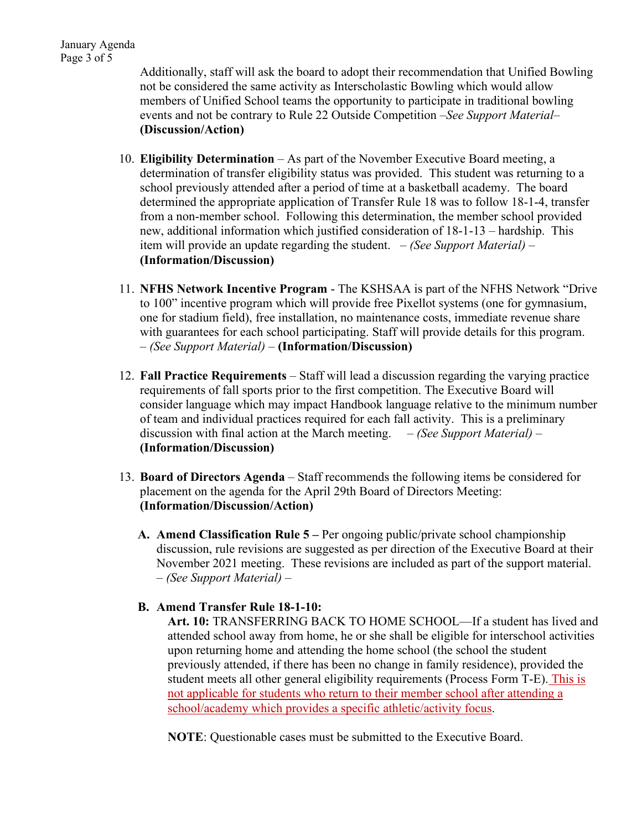Additionally, staff will ask the board to adopt their recommendation that Unified Bowling not be considered the same activity as Interscholastic Bowling which would allow members of Unified School teams the opportunity to participate in traditional bowling events and not be contrary to Rule 22 Outside Competition *–See Support Material–* **(Discussion/Action)**

- 10. **Eligibility Determination** As part of the November Executive Board meeting, a determination of transfer eligibility status was provided. This student was returning to a school previously attended after a period of time at a basketball academy. The board determined the appropriate application of Transfer Rule 18 was to follow 18-1-4, transfer from a non-member school. Following this determination, the member school provided new, additional information which justified consideration of 18-1-13 – hardship. This item will provide an update regarding the student. *– (See Support Material) –* **(Information/Discussion)**
- 11. **NFHS Network Incentive Program** The KSHSAA is part of the NFHS Network "Drive to 100" incentive program which will provide free Pixellot systems (one for gymnasium, one for stadium field), free installation, no maintenance costs, immediate revenue share with guarantees for each school participating. Staff will provide details for this program. *– (See Support Material) –* **(Information/Discussion)**
- 12. **Fall Practice Requirements** Staff will lead a discussion regarding the varying practice requirements of fall sports prior to the first competition. The Executive Board will consider language which may impact Handbook language relative to the minimum number of team and individual practices required for each fall activity. This is a preliminary discussion with final action at the March meeting. *– (See Support Material) –* **(Information/Discussion)**
- 13. **Board of Directors Agenda** Staff recommends the following items be considered for placement on the agenda for the April 29th Board of Directors Meeting: **(Information/Discussion/Action)**
	- **A. Amend Classification Rule 5 –** Per ongoing public/private school championship discussion, rule revisions are suggested as per direction of the Executive Board at their November 2021 meeting. These revisions are included as part of the support material. *– (See Support Material) –*

# **B. Amend Transfer Rule 18-1-10:**

**Art. 10:** TRANSFERRING BACK TO HOME SCHOOL—If a student has lived and attended school away from home, he or she shall be eligible for interschool activities upon returning home and attending the home school (the school the student previously attended, if there has been no change in family residence), provided the student meets all other general eligibility requirements (Process Form T-E). This is not applicable for students who return to their member school after attending a school/academy which provides a specific athletic/activity focus.

**NOTE**: Questionable cases must be submitted to the Executive Board.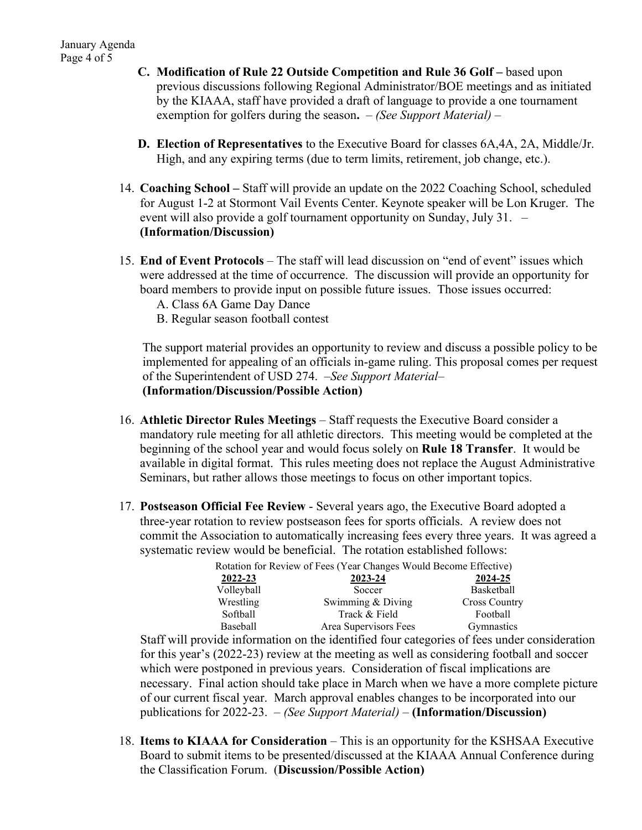- **C. Modification of Rule 22 Outside Competition and Rule 36 Golf –** based upon previous discussions following Regional Administrator/BOE meetings and as initiated by the KIAAA, staff have provided a draft of language to provide a one tournament exemption for golfers during the season**.** *– (See Support Material) –*
- **D. Election of Representatives** to the Executive Board for classes 6A,4A, 2A, Middle/Jr. High, and any expiring terms (due to term limits, retirement, job change, etc.).
- 14. **Coaching School –** Staff will provide an update on the 2022 Coaching School, scheduled for August 1-2 at Stormont Vail Events Center. Keynote speaker will be Lon Kruger. The event will also provide a golf tournament opportunity on Sunday, July 31. *–* **(Information/Discussion)**
- 15. **End of Event Protocols** The staff will lead discussion on "end of event" issues which were addressed at the time of occurrence. The discussion will provide an opportunity for board members to provide input on possible future issues. Those issues occurred:
	- A. Class 6A Game Day Dance
	- B. Regular season football contest

The support material provides an opportunity to review and discuss a possible policy to be implemented for appealing of an officials in-game ruling. This proposal comes per request of the Superintendent of USD 274. *–See Support Material–* **(Information/Discussion/Possible Action)**

- 16. **Athletic Director Rules Meetings** Staff requests the Executive Board consider a mandatory rule meeting for all athletic directors. This meeting would be completed at the beginning of the school year and would focus solely on **Rule 18 Transfer**. It would be available in digital format. This rules meeting does not replace the August Administrative Seminars, but rather allows those meetings to focus on other important topics.
- 17. **Postseason Official Fee Review** Several years ago, the Executive Board adopted a three-year rotation to review postseason fees for sports officials. A review does not commit the Association to automatically increasing fees every three years. It was agreed a systematic review would be beneficial. The rotation established follows:

|            | Rotation for Review of Fees (Year Changes Would Become Effective) |                      |
|------------|-------------------------------------------------------------------|----------------------|
| 2022-23    | 2023-24                                                           | 2024-25              |
| Volleyball | Soccer                                                            | Basketball           |
| Wrestling  | Swimming & Diving                                                 | <b>Cross Country</b> |
| Softball   | Track & Field                                                     | Football             |
| Baseball   | Area Supervisors Fees                                             | Gymnastics           |

Staff will provide information on the identified four categories of fees under consideration for this year's (2022-23) review at the meeting as well as considering football and soccer which were postponed in previous years. Consideration of fiscal implications are necessary. Final action should take place in March when we have a more complete picture of our current fiscal year. March approval enables changes to be incorporated into our publications for 2022-23. *– (See Support Material) –* **(Information/Discussion)**

18. **Items to KIAAA for Consideration** – This is an opportunity for the KSHSAA Executive Board to submit items to be presented/discussed at the KIAAA Annual Conference during the Classification Forum. (**Discussion/Possible Action)**